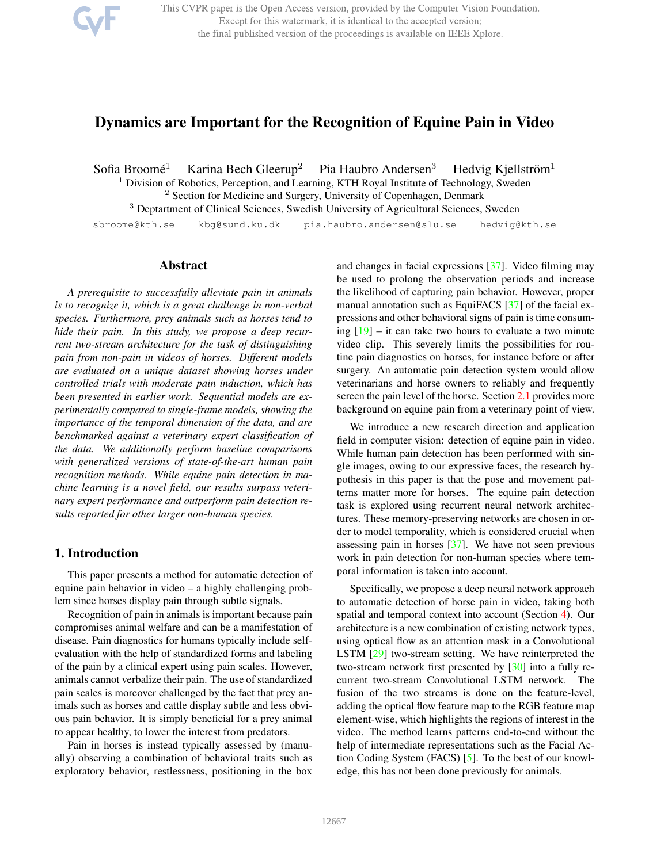This CVPR paper is the Open Access version, provided by the Computer Vision Foundation. Except for this watermark, it is identical to the accepted version; the final published version of the proceedings is available on IEEE Xplore.

# Dynamics are Important for the Recognition of Equine Pain in Video

Sofia Broomé<sup>1</sup> Karina Bech Gleerup<sup>2</sup> Pia Haubro Andersen<sup>3</sup> Hedvig Kiellström $<sup>1</sup>$ </sup>

 $1$  Division of Robotics, Perception, and Learning, KTH Royal Institute of Technology, Sweden

<sup>2</sup> Section for Medicine and Surgery, University of Copenhagen, Denmark

<sup>3</sup> Deptartment of Clinical Sciences, Swedish University of Agricultural Sciences, Sweden

sbroome@kth.se kbg@sund.ku.dk pia.haubro.andersen@slu.se hedvig@kth.se

# Abstract

*A prerequisite to successfully alleviate pain in animals is to recognize it, which is a great challenge in non-verbal species. Furthermore, prey animals such as horses tend to hide their pain. In this study, we propose a deep recurrent two-stream architecture for the task of distinguishing pain from non-pain in videos of horses. Different models are evaluated on a unique dataset showing horses under controlled trials with moderate pain induction, which has been presented in earlier work. Sequential models are experimentally compared to single-frame models, showing the importance of the temporal dimension of the data, and are benchmarked against a veterinary expert classification of the data. We additionally perform baseline comparisons with generalized versions of state-of-the-art human pain recognition methods. While equine pain detection in machine learning is a novel field, our results surpass veterinary expert performance and outperform pain detection results reported for other larger non-human species.*

# 1. Introduction

This paper presents a method for automatic detection of equine pain behavior in video – a highly challenging problem since horses display pain through subtle signals.

Recognition of pain in animals is important because pain compromises animal welfare and can be a manifestation of disease. Pain diagnostics for humans typically include selfevaluation with the help of standardized forms and labeling of the pain by a clinical expert using pain scales. However, animals cannot verbalize their pain. The use of standardized pain scales is moreover challenged by the fact that prey animals such as horses and cattle display subtle and less obvious pain behavior. It is simply beneficial for a prey animal to appear healthy, to lower the interest from predators.

Pain in horses is instead typically assessed by (manually) observing a combination of behavioral traits such as exploratory behavior, restlessness, positioning in the box and changes in facial expressions [37]. Video filming may be used to prolong the observation periods and increase the likelihood of capturing pain behavior. However, proper manual annotation such as EquiFACS [37] of the facial expressions and other behavioral signs of pain is time consuming  $[19]$  – it can take two hours to evaluate a two minute video clip. This severely limits the possibilities for routine pain diagnostics on horses, for instance before or after surgery. An automatic pain detection system would allow veterinarians and horse owners to reliably and frequently screen the pain level of the horse. Section 2.1 provides more background on equine pain from a veterinary point of view.

We introduce a new research direction and application field in computer vision: detection of equine pain in video. While human pain detection has been performed with single images, owing to our expressive faces, the research hypothesis in this paper is that the pose and movement patterns matter more for horses. The equine pain detection task is explored using recurrent neural network architectures. These memory-preserving networks are chosen in order to model temporality, which is considered crucial when assessing pain in horses [37]. We have not seen previous work in pain detection for non-human species where temporal information is taken into account.

Specifically, we propose a deep neural network approach to automatic detection of horse pain in video, taking both spatial and temporal context into account (Section 4). Our architecture is a new combination of existing network types, using optical flow as an attention mask in a Convolutional LSTM [29] two-stream setting. We have reinterpreted the two-stream network first presented by [30] into a fully recurrent two-stream Convolutional LSTM network. The fusion of the two streams is done on the feature-level, adding the optical flow feature map to the RGB feature map element-wise, which highlights the regions of interest in the video. The method learns patterns end-to-end without the help of intermediate representations such as the Facial Action Coding System (FACS) [5]. To the best of our knowledge, this has not been done previously for animals.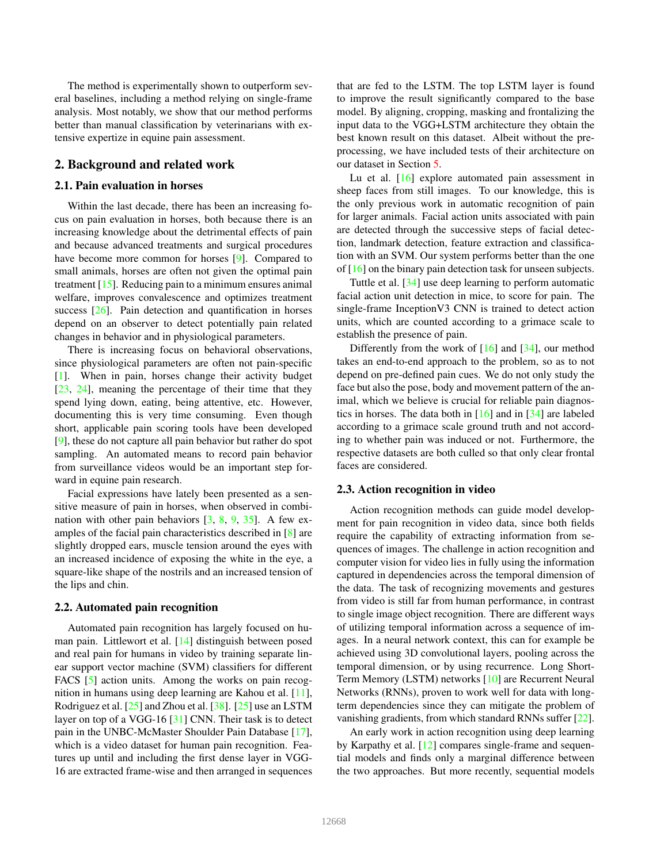The method is experimentally shown to outperform several baselines, including a method relying on single-frame analysis. Most notably, we show that our method performs better than manual classification by veterinarians with extensive expertize in equine pain assessment.

# 2. Background and related work

### 2.1. Pain evaluation in horses

Within the last decade, there has been an increasing focus on pain evaluation in horses, both because there is an increasing knowledge about the detrimental effects of pain and because advanced treatments and surgical procedures have become more common for horses [9]. Compared to small animals, horses are often not given the optimal pain treatment [15]. Reducing pain to a minimum ensures animal welfare, improves convalescence and optimizes treatment success [26]. Pain detection and quantification in horses depend on an observer to detect potentially pain related changes in behavior and in physiological parameters.

There is increasing focus on behavioral observations, since physiological parameters are often not pain-specific [1]. When in pain, horses change their activity budget [23, 24], meaning the percentage of their time that they spend lying down, eating, being attentive, etc. However, documenting this is very time consuming. Even though short, applicable pain scoring tools have been developed [9], these do not capture all pain behavior but rather do spot sampling. An automated means to record pain behavior from surveillance videos would be an important step forward in equine pain research.

Facial expressions have lately been presented as a sensitive measure of pain in horses, when observed in combination with other pain behaviors  $[3, 8, 9, 35]$ . A few examples of the facial pain characteristics described in [8] are slightly dropped ears, muscle tension around the eyes with an increased incidence of exposing the white in the eye, a square-like shape of the nostrils and an increased tension of the lips and chin.

#### 2.2. Automated pain recognition

Automated pain recognition has largely focused on human pain. Littlewort et al. [14] distinguish between posed and real pain for humans in video by training separate linear support vector machine (SVM) classifiers for different FACS [5] action units. Among the works on pain recognition in humans using deep learning are Kahou et al. [11], Rodriguez et al. [25] and Zhou et al. [38]. [25] use an LSTM layer on top of a VGG-16 [31] CNN. Their task is to detect pain in the UNBC-McMaster Shoulder Pain Database [17], which is a video dataset for human pain recognition. Features up until and including the first dense layer in VGG-16 are extracted frame-wise and then arranged in sequences that are fed to the LSTM. The top LSTM layer is found to improve the result significantly compared to the base model. By aligning, cropping, masking and frontalizing the input data to the VGG+LSTM architecture they obtain the best known result on this dataset. Albeit without the preprocessing, we have included tests of their architecture on our dataset in Section 5.

Lu et al. [16] explore automated pain assessment in sheep faces from still images. To our knowledge, this is the only previous work in automatic recognition of pain for larger animals. Facial action units associated with pain are detected through the successive steps of facial detection, landmark detection, feature extraction and classification with an SVM. Our system performs better than the one of [16] on the binary pain detection task for unseen subjects.

Tuttle et al. [34] use deep learning to perform automatic facial action unit detection in mice, to score for pain. The single-frame InceptionV3 CNN is trained to detect action units, which are counted according to a grimace scale to establish the presence of pain.

Differently from the work of [16] and [34], our method takes an end-to-end approach to the problem, so as to not depend on pre-defined pain cues. We do not only study the face but also the pose, body and movement pattern of the animal, which we believe is crucial for reliable pain diagnostics in horses. The data both in  $[16]$  and in  $[34]$  are labeled according to a grimace scale ground truth and not according to whether pain was induced or not. Furthermore, the respective datasets are both culled so that only clear frontal faces are considered.

### 2.3. Action recognition in video

Action recognition methods can guide model development for pain recognition in video data, since both fields require the capability of extracting information from sequences of images. The challenge in action recognition and computer vision for video lies in fully using the information captured in dependencies across the temporal dimension of the data. The task of recognizing movements and gestures from video is still far from human performance, in contrast to single image object recognition. There are different ways of utilizing temporal information across a sequence of images. In a neural network context, this can for example be achieved using 3D convolutional layers, pooling across the temporal dimension, or by using recurrence. Long Short-Term Memory (LSTM) networks [10] are Recurrent Neural Networks (RNNs), proven to work well for data with longterm dependencies since they can mitigate the problem of vanishing gradients, from which standard RNNs suffer [22].

An early work in action recognition using deep learning by Karpathy et al. [12] compares single-frame and sequential models and finds only a marginal difference between the two approaches. But more recently, sequential models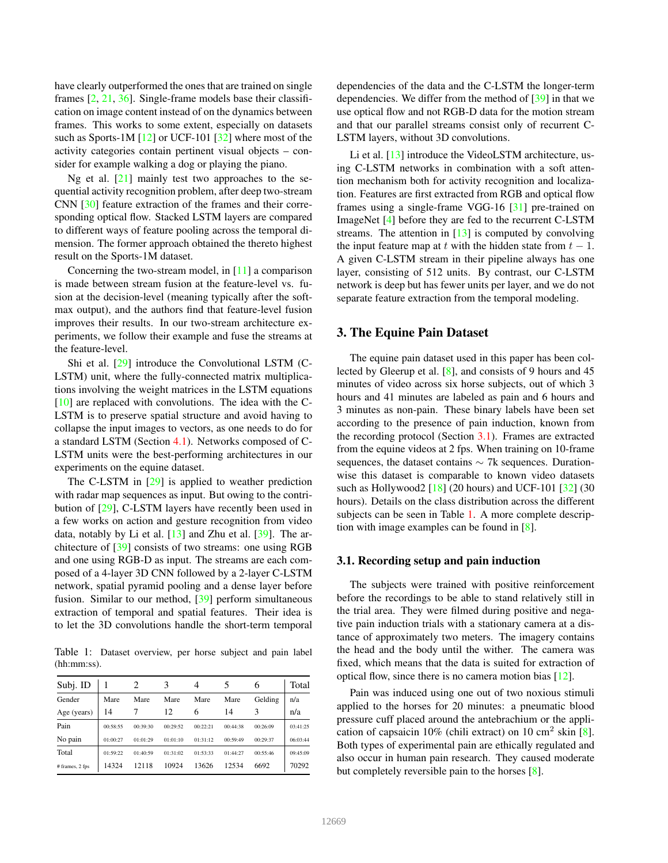have clearly outperformed the ones that are trained on single frames [2, 21, 36]. Single-frame models base their classification on image content instead of on the dynamics between frames. This works to some extent, especially on datasets such as Sports-1M [12] or UCF-101 [32] where most of the activity categories contain pertinent visual objects – consider for example walking a dog or playing the piano.

Ng et al. [21] mainly test two approaches to the sequential activity recognition problem, after deep two-stream CNN [30] feature extraction of the frames and their corresponding optical flow. Stacked LSTM layers are compared to different ways of feature pooling across the temporal dimension. The former approach obtained the thereto highest result on the Sports-1M dataset.

Concerning the two-stream model, in [11] a comparison is made between stream fusion at the feature-level vs. fusion at the decision-level (meaning typically after the softmax output), and the authors find that feature-level fusion improves their results. In our two-stream architecture experiments, we follow their example and fuse the streams at the feature-level.

Shi et al. [29] introduce the Convolutional LSTM (C-LSTM) unit, where the fully-connected matrix multiplications involving the weight matrices in the LSTM equations [10] are replaced with convolutions. The idea with the C-LSTM is to preserve spatial structure and avoid having to collapse the input images to vectors, as one needs to do for a standard LSTM (Section 4.1). Networks composed of C-LSTM units were the best-performing architectures in our experiments on the equine dataset.

The C-LSTM in [29] is applied to weather prediction with radar map sequences as input. But owing to the contribution of [29], C-LSTM layers have recently been used in a few works on action and gesture recognition from video data, notably by Li et al.  $[13]$  and Zhu et al.  $[39]$ . The architecture of [39] consists of two streams: one using RGB and one using RGB-D as input. The streams are each composed of a 4-layer 3D CNN followed by a 2-layer C-LSTM network, spatial pyramid pooling and a dense layer before fusion. Similar to our method, [39] perform simultaneous extraction of temporal and spatial features. Their idea is to let the 3D convolutions handle the short-term temporal

Table 1: Dataset overview, per horse subject and pain label (hh:mm:ss).

| Subj. ID        |          |          | 3        | 4        |          | O        | Total    |
|-----------------|----------|----------|----------|----------|----------|----------|----------|
| Gender          | Mare     | Mare     | Mare     | Mare     | Mare     | Gelding  | n/a      |
| Age (years)     | 14       |          | 12       | 6        | 14       | ٩        | n/a      |
| Pain            | 00:58:55 | 00:39:30 | 00:29:52 | 00:22:21 | 00:44:38 | 00:26:09 | 03:41:25 |
| No pain         | 01:00:27 | 01:01:29 | 01:01:10 | 01:31:12 | 00:59:49 | 00:29:37 | 06:03:44 |
| Total           | 01:59:22 | 01:40:59 | 01:31:02 | 01:53:33 | 01:44:27 | 00:55:46 | 09:45:09 |
| # frames, 2 fps | 14324    | 12118    | 10924    | 13626    | 12534    | 6692     | 70292    |

dependencies of the data and the C-LSTM the longer-term dependencies. We differ from the method of [39] in that we use optical flow and not RGB-D data for the motion stream and that our parallel streams consist only of recurrent C-LSTM layers, without 3D convolutions.

Li et al. [13] introduce the VideoLSTM architecture, using C-LSTM networks in combination with a soft attention mechanism both for activity recognition and localization. Features are first extracted from RGB and optical flow frames using a single-frame VGG-16 [31] pre-trained on ImageNet [4] before they are fed to the recurrent C-LSTM streams. The attention in  $[13]$  is computed by convolving the input feature map at t with the hidden state from  $t - 1$ . A given C-LSTM stream in their pipeline always has one layer, consisting of 512 units. By contrast, our C-LSTM network is deep but has fewer units per layer, and we do not separate feature extraction from the temporal modeling.

### 3. The Equine Pain Dataset

The equine pain dataset used in this paper has been collected by Gleerup et al. [8], and consists of 9 hours and 45 minutes of video across six horse subjects, out of which 3 hours and 41 minutes are labeled as pain and 6 hours and 3 minutes as non-pain. These binary labels have been set according to the presence of pain induction, known from the recording protocol (Section 3.1). Frames are extracted from the equine videos at 2 fps. When training on 10-frame sequences, the dataset contains ∼ 7k sequences. Durationwise this dataset is comparable to known video datasets such as Hollywood2  $[18]$  (20 hours) and UCF-101  $[32]$  (30 hours). Details on the class distribution across the different subjects can be seen in Table 1. A more complete description with image examples can be found in [8].

### 3.1. Recording setup and pain induction

The subjects were trained with positive reinforcement before the recordings to be able to stand relatively still in the trial area. They were filmed during positive and negative pain induction trials with a stationary camera at a distance of approximately two meters. The imagery contains the head and the body until the wither. The camera was fixed, which means that the data is suited for extraction of optical flow, since there is no camera motion bias [12].

Pain was induced using one out of two noxious stimuli applied to the horses for 20 minutes: a pneumatic blood pressure cuff placed around the antebrachium or the application of capsaicin  $10\%$  (chili extract) on  $10 \text{ cm}^2$  skin [8]. Both types of experimental pain are ethically regulated and also occur in human pain research. They caused moderate but completely reversible pain to the horses [8].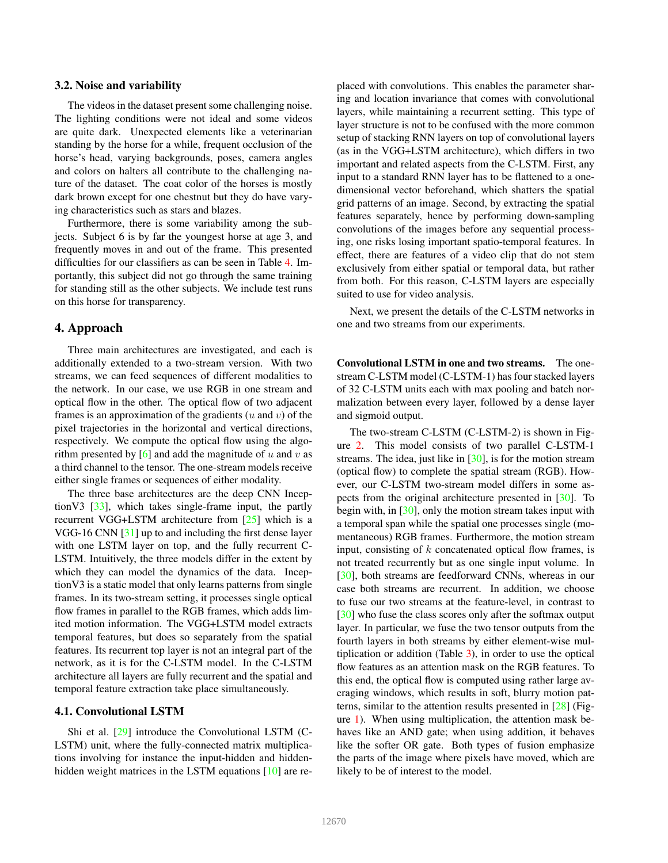### 3.2. Noise and variability

The videos in the dataset present some challenging noise. The lighting conditions were not ideal and some videos are quite dark. Unexpected elements like a veterinarian standing by the horse for a while, frequent occlusion of the horse's head, varying backgrounds, poses, camera angles and colors on halters all contribute to the challenging nature of the dataset. The coat color of the horses is mostly dark brown except for one chestnut but they do have varying characteristics such as stars and blazes.

Furthermore, there is some variability among the subjects. Subject 6 is by far the youngest horse at age 3, and frequently moves in and out of the frame. This presented difficulties for our classifiers as can be seen in Table 4. Importantly, this subject did not go through the same training for standing still as the other subjects. We include test runs on this horse for transparency.

# 4. Approach

Three main architectures are investigated, and each is additionally extended to a two-stream version. With two streams, we can feed sequences of different modalities to the network. In our case, we use RGB in one stream and optical flow in the other. The optical flow of two adjacent frames is an approximation of the gradients  $(u \text{ and } v)$  of the pixel trajectories in the horizontal and vertical directions, respectively. We compute the optical flow using the algorithm presented by  $\lceil 6 \rceil$  and add the magnitude of u and v as a third channel to the tensor. The one-stream models receive either single frames or sequences of either modality.

The three base architectures are the deep CNN InceptionV3 [33], which takes single-frame input, the partly recurrent VGG+LSTM architecture from [25] which is a VGG-16 CNN [31] up to and including the first dense layer with one LSTM layer on top, and the fully recurrent C-LSTM. Intuitively, the three models differ in the extent by which they can model the dynamics of the data. InceptionV3 is a static model that only learns patterns from single frames. In its two-stream setting, it processes single optical flow frames in parallel to the RGB frames, which adds limited motion information. The VGG+LSTM model extracts temporal features, but does so separately from the spatial features. Its recurrent top layer is not an integral part of the network, as it is for the C-LSTM model. In the C-LSTM architecture all layers are fully recurrent and the spatial and temporal feature extraction take place simultaneously.

#### 4.1. Convolutional LSTM

Shi et al. [29] introduce the Convolutional LSTM (C-LSTM) unit, where the fully-connected matrix multiplications involving for instance the input-hidden and hiddenhidden weight matrices in the LSTM equations [10] are replaced with convolutions. This enables the parameter sharing and location invariance that comes with convolutional layers, while maintaining a recurrent setting. This type of layer structure is not to be confused with the more common setup of stacking RNN layers on top of convolutional layers (as in the VGG+LSTM architecture), which differs in two important and related aspects from the C-LSTM. First, any input to a standard RNN layer has to be flattened to a onedimensional vector beforehand, which shatters the spatial grid patterns of an image. Second, by extracting the spatial features separately, hence by performing down-sampling convolutions of the images before any sequential processing, one risks losing important spatio-temporal features. In effect, there are features of a video clip that do not stem exclusively from either spatial or temporal data, but rather from both. For this reason, C-LSTM layers are especially suited to use for video analysis.

Next, we present the details of the C-LSTM networks in one and two streams from our experiments.

Convolutional LSTM in one and two streams. The onestream C-LSTM model (C-LSTM-1) has four stacked layers of 32 C-LSTM units each with max pooling and batch normalization between every layer, followed by a dense layer and sigmoid output.

The two-stream C-LSTM (C-LSTM-2) is shown in Figure 2. This model consists of two parallel C-LSTM-1 streams. The idea, just like in  $[30]$ , is for the motion stream (optical flow) to complete the spatial stream (RGB). However, our C-LSTM two-stream model differs in some aspects from the original architecture presented in [30]. To begin with, in [30], only the motion stream takes input with a temporal span while the spatial one processes single (momentaneous) RGB frames. Furthermore, the motion stream input, consisting of  $k$  concatenated optical flow frames, is not treated recurrently but as one single input volume. In [30], both streams are feedforward CNNs, whereas in our case both streams are recurrent. In addition, we choose to fuse our two streams at the feature-level, in contrast to [30] who fuse the class scores only after the softmax output layer. In particular, we fuse the two tensor outputs from the fourth layers in both streams by either element-wise multiplication or addition (Table 3), in order to use the optical flow features as an attention mask on the RGB features. To this end, the optical flow is computed using rather large averaging windows, which results in soft, blurry motion patterns, similar to the attention results presented in [28] (Figure 1). When using multiplication, the attention mask behaves like an AND gate; when using addition, it behaves like the softer OR gate. Both types of fusion emphasize the parts of the image where pixels have moved, which are likely to be of interest to the model.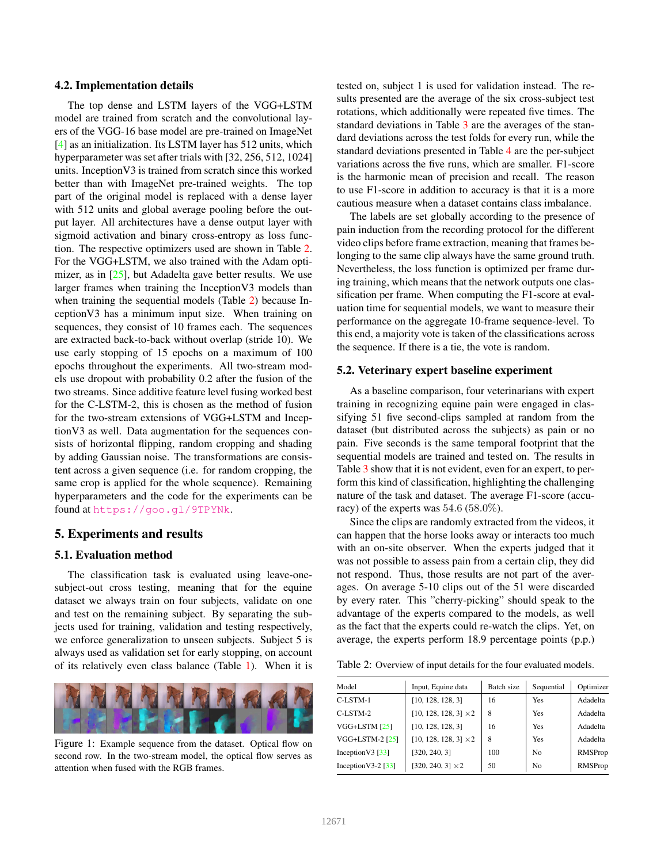#### 4.2. Implementation details

The top dense and LSTM layers of the VGG+LSTM model are trained from scratch and the convolutional layers of the VGG-16 base model are pre-trained on ImageNet [4] as an initialization. Its LSTM layer has 512 units, which hyperparameter was set after trials with [32, 256, 512, 1024] units. InceptionV3 is trained from scratch since this worked better than with ImageNet pre-trained weights. The top part of the original model is replaced with a dense layer with 512 units and global average pooling before the output layer. All architectures have a dense output layer with sigmoid activation and binary cross-entropy as loss function. The respective optimizers used are shown in Table 2. For the VGG+LSTM, we also trained with the Adam optimizer, as in  $[25]$ , but Adadelta gave better results. We use larger frames when training the InceptionV3 models than when training the sequential models (Table 2) because InceptionV3 has a minimum input size. When training on sequences, they consist of 10 frames each. The sequences are extracted back-to-back without overlap (stride 10). We use early stopping of 15 epochs on a maximum of 100 epochs throughout the experiments. All two-stream models use dropout with probability 0.2 after the fusion of the two streams. Since additive feature level fusing worked best for the C-LSTM-2, this is chosen as the method of fusion for the two-stream extensions of VGG+LSTM and InceptionV3 as well. Data augmentation for the sequences consists of horizontal flipping, random cropping and shading by adding Gaussian noise. The transformations are consistent across a given sequence (i.e. for random cropping, the same crop is applied for the whole sequence). Remaining hyperparameters and the code for the experiments can be found at https://goo.gl/9TPYNk.

### 5. Experiments and results

### 5.1. Evaluation method

The classification task is evaluated using leave-onesubject-out cross testing, meaning that for the equine dataset we always train on four subjects, validate on one and test on the remaining subject. By separating the subjects used for training, validation and testing respectively, we enforce generalization to unseen subjects. Subject 5 is always used as validation set for early stopping, on account of its relatively even class balance (Table 1). When it is



Figure 1: Example sequence from the dataset. Optical flow on second row. In the two-stream model, the optical flow serves as attention when fused with the RGB frames.

tested on, subject 1 is used for validation instead. The results presented are the average of the six cross-subject test rotations, which additionally were repeated five times. The standard deviations in Table 3 are the averages of the standard deviations across the test folds for every run, while the standard deviations presented in Table 4 are the per-subject variations across the five runs, which are smaller. F1-score is the harmonic mean of precision and recall. The reason to use F1-score in addition to accuracy is that it is a more cautious measure when a dataset contains class imbalance.

The labels are set globally according to the presence of pain induction from the recording protocol for the different video clips before frame extraction, meaning that frames belonging to the same clip always have the same ground truth. Nevertheless, the loss function is optimized per frame during training, which means that the network outputs one classification per frame. When computing the F1-score at evaluation time for sequential models, we want to measure their performance on the aggregate 10-frame sequence-level. To this end, a majority vote is taken of the classifications across the sequence. If there is a tie, the vote is random.

### 5.2. Veterinary expert baseline experiment

As a baseline comparison, four veterinarians with expert training in recognizing equine pain were engaged in classifying 51 five second-clips sampled at random from the dataset (but distributed across the subjects) as pain or no pain. Five seconds is the same temporal footprint that the sequential models are trained and tested on. The results in Table 3 show that it is not evident, even for an expert, to perform this kind of classification, highlighting the challenging nature of the task and dataset. The average F1-score (accuracy) of the experts was  $54.6$  ( $58.0\%$ ).

Since the clips are randomly extracted from the videos, it can happen that the horse looks away or interacts too much with an on-site observer. When the experts judged that it was not possible to assess pain from a certain clip, they did not respond. Thus, those results are not part of the averages. On average 5-10 clips out of the 51 were discarded by every rater. This "cherry-picking" should speak to the advantage of the experts compared to the models, as well as the fact that the experts could re-watch the clips. Yet, on average, the experts perform 18.9 percentage points (p.p.)

Table 2: Overview of input details for the four evaluated models.

| Model                            | Input, Equine data           | Batch size | Sequential     | Optimizer |
|----------------------------------|------------------------------|------------|----------------|-----------|
| C-LSTM-1                         | [10, 128, 128, 3]            | 16         | <b>Yes</b>     | Adadelta  |
| $C-I$ STM-2                      | $[10, 128, 128, 3] \times 2$ | 8          | <b>Yes</b>     | Adadelta  |
| VGG+LSTM $[25]$                  | [10, 128, 128, 3]            | 16         | <b>Yes</b>     | Adadelta  |
| VGG+LSTM-2 [25]                  | $[10, 128, 128, 3] \times 2$ | 8          | Yes            | Adadelta  |
| Inception V3 $\left[33\right]$   | [320, 240, 3]                | 100        | N <sub>0</sub> | RMSProp   |
| Inception V3-2 $\left[33\right]$ | $[320, 240, 3] \times 2$     | 50         | No             | RMSProp   |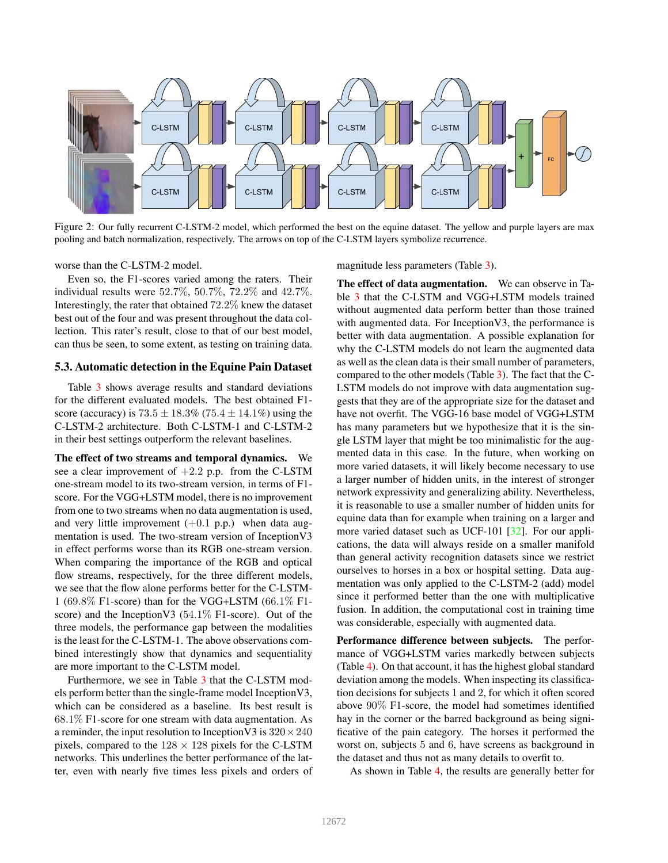

Figure 2: Our fully recurrent C-LSTM-2 model, which performed the best on the equine dataset. The yellow and purple layers are max pooling and batch normalization, respectively. The arrows on top of the C-LSTM layers symbolize recurrence.

worse than the C-LSTM-2 model.

Even so, the F1-scores varied among the raters. Their individual results were 52.7%, 50.7%, 72.2% and 42.7%. Interestingly, the rater that obtained 72.2% knew the dataset best out of the four and was present throughout the data collection. This rater's result, close to that of our best model, can thus be seen, to some extent, as testing on training data.

### 5.3. Automatic detection in the Equine Pain Dataset

Table 3 shows average results and standard deviations for the different evaluated models. The best obtained F1 score (accuracy) is  $73.5 \pm 18.3\%$  (75.4  $\pm 14.1\%$ ) using the C-LSTM-2 architecture. Both C-LSTM-1 and C-LSTM-2 in their best settings outperform the relevant baselines.

The effect of two streams and temporal dynamics. We see a clear improvement of  $+2.2$  p.p. from the C-LSTM one-stream model to its two-stream version, in terms of F1 score. For the VGG+LSTM model, there is no improvement from one to two streams when no data augmentation is used, and very little improvement  $(+0.1 \text{ p.p.})$  when data augmentation is used. The two-stream version of InceptionV3 in effect performs worse than its RGB one-stream version. When comparing the importance of the RGB and optical flow streams, respectively, for the three different models, we see that the flow alone performs better for the C-LSTM-1 (69.8% F1-score) than for the VGG+LSTM (66.1% F1 score) and the Inception V3 (54.1% F1-score). Out of the three models, the performance gap between the modalities is the least for the C-LSTM-1. The above observations combined interestingly show that dynamics and sequentiality are more important to the C-LSTM model.

Furthermore, we see in Table 3 that the C-LSTM models perform better than the single-frame model InceptionV3, which can be considered as a baseline. Its best result is 68.1% F1-score for one stream with data augmentation. As a reminder, the input resolution to Inception V3 is  $320 \times 240$ pixels, compared to the  $128 \times 128$  pixels for the C-LSTM networks. This underlines the better performance of the latter, even with nearly five times less pixels and orders of magnitude less parameters (Table 3).

The effect of data augmentation. We can observe in Table 3 that the C-LSTM and VGG+LSTM models trained without augmented data perform better than those trained with augmented data. For InceptionV3, the performance is better with data augmentation. A possible explanation for why the C-LSTM models do not learn the augmented data as well as the clean data is their small number of parameters, compared to the other models (Table 3). The fact that the C-LSTM models do not improve with data augmentation suggests that they are of the appropriate size for the dataset and have not overfit. The VGG-16 base model of VGG+LSTM has many parameters but we hypothesize that it is the single LSTM layer that might be too minimalistic for the augmented data in this case. In the future, when working on more varied datasets, it will likely become necessary to use a larger number of hidden units, in the interest of stronger network expressivity and generalizing ability. Nevertheless, it is reasonable to use a smaller number of hidden units for equine data than for example when training on a larger and more varied dataset such as UCF-101 [32]. For our applications, the data will always reside on a smaller manifold than general activity recognition datasets since we restrict ourselves to horses in a box or hospital setting. Data augmentation was only applied to the C-LSTM-2 (add) model since it performed better than the one with multiplicative fusion. In addition, the computational cost in training time was considerable, especially with augmented data.

Performance difference between subjects. The performance of VGG+LSTM varies markedly between subjects (Table 4). On that account, it has the highest global standard deviation among the models. When inspecting its classification decisions for subjects 1 and 2, for which it often scored above 90% F1-score, the model had sometimes identified hay in the corner or the barred background as being significative of the pain category. The horses it performed the worst on, subjects 5 and 6, have screens as background in the dataset and thus not as many details to overfit to.

As shown in Table 4, the results are generally better for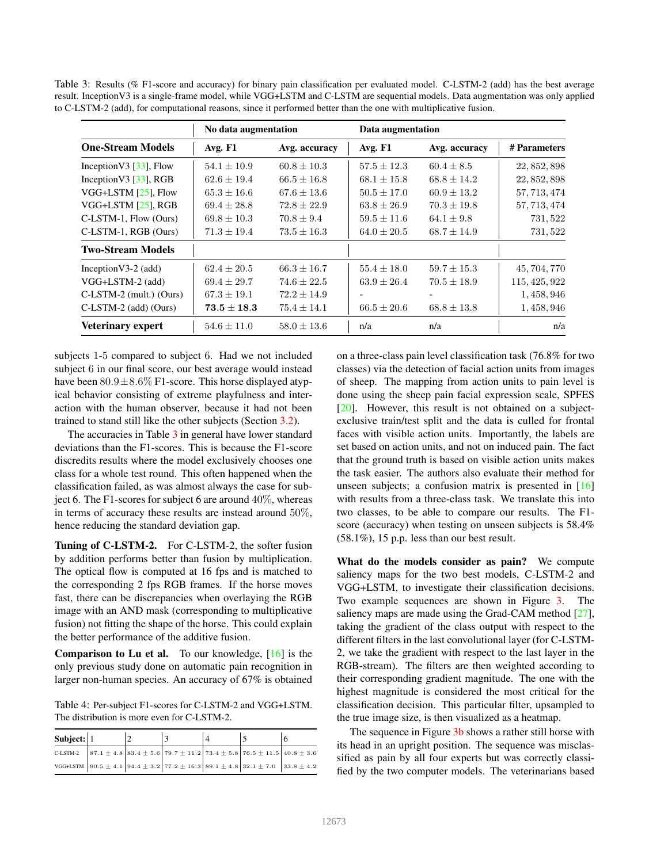Table 3: Results (% F1-score and accuracy) for binary pain classification per evaluated model. C-LSTM-2 (add) has the best average result. InceptionV3 is a single-frame model, while VGG+LSTM and C-LSTM are sequential models. Data augmentation was only applied to C-LSTM-2 (add), for computational reasons, since it performed better than the one with multiplicative fusion.

|                            | No data augmentation |                 | Data augmentation        |                 |               |
|----------------------------|----------------------|-----------------|--------------------------|-----------------|---------------|
| <b>One-Stream Models</b>   | Avg. F1              | Avg. accuracy   | Avg. F1                  | Avg. accuracy   | # Parameters  |
| Inception V3 $[33]$ , Flow | $54.1 \pm 10.9$      | $60.8 \pm 10.3$ | $57.5 \pm 12.3$          | $60.4 \pm 8.5$  | 22, 852, 898  |
| Inception V3 $[33]$ , RGB  | $62.6 \pm 19.4$      | $66.5 \pm 16.8$ | $68.1 \pm 15.8$          | $68.8 \pm 14.2$ | 22, 852, 898  |
| VGG+LSTM [25], Flow        | $65.3 \pm 16.6$      | $67.6 \pm 13.6$ | $50.5 \pm 17.0$          | $60.9 \pm 13.2$ | 57, 713, 474  |
| VGG+LSTM [25], RGB         | $69.4 \pm 28.8$      | $72.8 \pm 22.9$ | $63.8 \pm 26.9$          | $70.3 \pm 19.8$ | 57, 713, 474  |
| C-LSTM-1, Flow (Ours)      | $69.8 \pm 10.3$      | $70.8 \pm 9.4$  | $59.5 \pm 11.6$          | $64.1 \pm 9.8$  | 731, 522      |
| C-LSTM-1, RGB (Ours)       | $71.3 \pm 19.4$      | $73.5 \pm 16.3$ | $64.0 \pm 20.5$          | $68.7 \pm 14.9$ | 731, 522      |
| <b>Two-Stream Models</b>   |                      |                 |                          |                 |               |
| Inception $V3-2$ (add)     | $62.4 \pm 20.5$      | $66.3 \pm 16.7$ | $55.4 \pm 18.0$          | $59.7 \pm 15.3$ | 45, 704, 770  |
| VGG+LSTM-2 (add)           | $69.4 \pm 29.7$      | $74.6 \pm 22.5$ | $63.9 \pm 26.4$          | $70.5 \pm 18.9$ | 115, 425, 922 |
| C-LSTM-2 (mult.) (Ours)    | $67.3 \pm 19.1$      | $72.2 \pm 14.9$ | $\overline{\phantom{a}}$ |                 | 1, 458, 946   |
| $C$ -LSTM-2 (add) (Ours)   | $\bf 73.5 \pm 18.3$  | $75.4 \pm 14.1$ | $66.5 \pm 20.6$          | $68.8 \pm 13.8$ | 1, 458, 946   |
| <b>Veterinary expert</b>   | $54.6 \pm 11.0$      | $58.0 \pm 13.6$ | n/a                      | n/a             | n/a           |

subjects 1-5 compared to subject 6. Had we not included subject 6 in our final score, our best average would instead have been  $80.9 \pm 8.6\%$  F1-score. This horse displayed atypical behavior consisting of extreme playfulness and interaction with the human observer, because it had not been trained to stand still like the other subjects (Section 3.2).

The accuracies in Table 3 in general have lower standard deviations than the F1-scores. This is because the F1-score discredits results where the model exclusively chooses one class for a whole test round. This often happened when the classification failed, as was almost always the case for subject 6. The F1-scores for subject 6 are around 40%, whereas in terms of accuracy these results are instead around 50%, hence reducing the standard deviation gap.

Tuning of C-LSTM-2. For C-LSTM-2, the softer fusion by addition performs better than fusion by multiplication. The optical flow is computed at 16 fps and is matched to the corresponding 2 fps RGB frames. If the horse moves fast, there can be discrepancies when overlaying the RGB image with an AND mask (corresponding to multiplicative fusion) not fitting the shape of the horse. This could explain the better performance of the additive fusion.

**Comparison to Lu et al.** To our knowledge,  $[16]$  is the only previous study done on automatic pain recognition in larger non-human species. An accuracy of 67% is obtained

Table 4: Per-subject F1-scores for C-LSTM-2 and VGG+LSTM. The distribution is more even for C-LSTM-2.

| Subject: $ 1$ |  |                                                                                                                                            |  |  |
|---------------|--|--------------------------------------------------------------------------------------------------------------------------------------------|--|--|
| C-LSTM-2      |  | $87.1 \pm 4.8$ $83.4 \pm 5.6$ $79.7 \pm 11.2$ $73.4 \pm 5.8$ $76.5 \pm 11.5$ $40.8 \pm 3.6$                                                |  |  |
|               |  | VGG+LSTM $\left[90.5 \pm 4.1\right]$ 94.4 $\pm$ 3.2 $\left[77.2 \pm 16.3\right]$ 89.1 $\pm$ 4.8 $\left[32.1 \pm 7.0\right]$ 33.8 $\pm$ 4.2 |  |  |

on a three-class pain level classification task (76.8% for two classes) via the detection of facial action units from images of sheep. The mapping from action units to pain level is done using the sheep pain facial expression scale, SPFES [20]. However, this result is not obtained on a subjectexclusive train/test split and the data is culled for frontal faces with visible action units. Importantly, the labels are set based on action units, and not on induced pain. The fact that the ground truth is based on visible action units makes the task easier. The authors also evaluate their method for unseen subjects; a confusion matrix is presented in [16] with results from a three-class task. We translate this into two classes, to be able to compare our results. The F1 score (accuracy) when testing on unseen subjects is 58.4% (58.1%), 15 p.p. less than our best result.

What do the models consider as pain? We compute saliency maps for the two best models, C-LSTM-2 and VGG+LSTM, to investigate their classification decisions. Two example sequences are shown in Figure 3. The saliency maps are made using the Grad-CAM method [27], taking the gradient of the class output with respect to the different filters in the last convolutional layer (for C-LSTM-2, we take the gradient with respect to the last layer in the RGB-stream). The filters are then weighted according to their corresponding gradient magnitude. The one with the highest magnitude is considered the most critical for the classification decision. This particular filter, upsampled to the true image size, is then visualized as a heatmap.

The sequence in Figure 3b shows a rather still horse with its head in an upright position. The sequence was misclassified as pain by all four experts but was correctly classified by the two computer models. The veterinarians based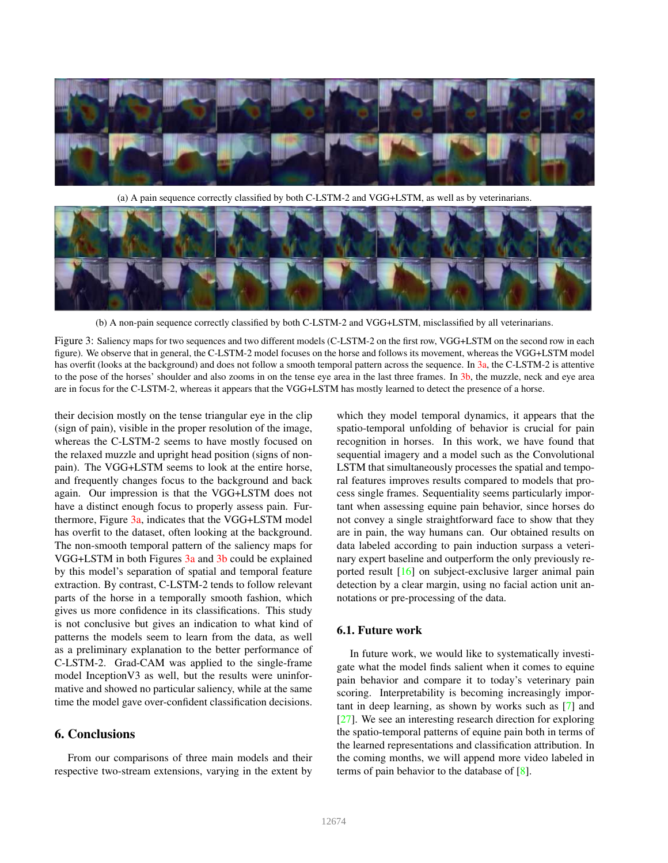

(a) A pain sequence correctly classified by both C-LSTM-2 and VGG+LSTM, as well as by veterinarians.



(b) A non-pain sequence correctly classified by both C-LSTM-2 and VGG+LSTM, misclassified by all veterinarians.

Figure 3: Saliency maps for two sequences and two different models (C-LSTM-2 on the first row, VGG+LSTM on the second row in each figure). We observe that in general, the C-LSTM-2 model focuses on the horse and follows its movement, whereas the VGG+LSTM model has overfit (looks at the background) and does not follow a smooth temporal pattern across the sequence. In 3a, the C-LSTM-2 is attentive to the pose of the horses' shoulder and also zooms in on the tense eye area in the last three frames. In 3b, the muzzle, neck and eye area are in focus for the C-LSTM-2, whereas it appears that the VGG+LSTM has mostly learned to detect the presence of a horse.

their decision mostly on the tense triangular eye in the clip (sign of pain), visible in the proper resolution of the image, whereas the C-LSTM-2 seems to have mostly focused on the relaxed muzzle and upright head position (signs of nonpain). The VGG+LSTM seems to look at the entire horse, and frequently changes focus to the background and back again. Our impression is that the VGG+LSTM does not have a distinct enough focus to properly assess pain. Furthermore, Figure 3a, indicates that the VGG+LSTM model has overfit to the dataset, often looking at the background. The non-smooth temporal pattern of the saliency maps for VGG+LSTM in both Figures 3a and 3b could be explained by this model's separation of spatial and temporal feature extraction. By contrast, C-LSTM-2 tends to follow relevant parts of the horse in a temporally smooth fashion, which gives us more confidence in its classifications. This study is not conclusive but gives an indication to what kind of patterns the models seem to learn from the data, as well as a preliminary explanation to the better performance of C-LSTM-2. Grad-CAM was applied to the single-frame model InceptionV3 as well, but the results were uninformative and showed no particular saliency, while at the same time the model gave over-confident classification decisions.

### 6. Conclusions

From our comparisons of three main models and their respective two-stream extensions, varying in the extent by

which they model temporal dynamics, it appears that the spatio-temporal unfolding of behavior is crucial for pain recognition in horses. In this work, we have found that sequential imagery and a model such as the Convolutional LSTM that simultaneously processes the spatial and temporal features improves results compared to models that process single frames. Sequentiality seems particularly important when assessing equine pain behavior, since horses do not convey a single straightforward face to show that they are in pain, the way humans can. Our obtained results on data labeled according to pain induction surpass a veterinary expert baseline and outperform the only previously reported result [16] on subject-exclusive larger animal pain detection by a clear margin, using no facial action unit annotations or pre-processing of the data.

### 6.1. Future work

In future work, we would like to systematically investigate what the model finds salient when it comes to equine pain behavior and compare it to today's veterinary pain scoring. Interpretability is becoming increasingly important in deep learning, as shown by works such as [7] and [27]. We see an interesting research direction for exploring the spatio-temporal patterns of equine pain both in terms of the learned representations and classification attribution. In the coming months, we will append more video labeled in terms of pain behavior to the database of [8].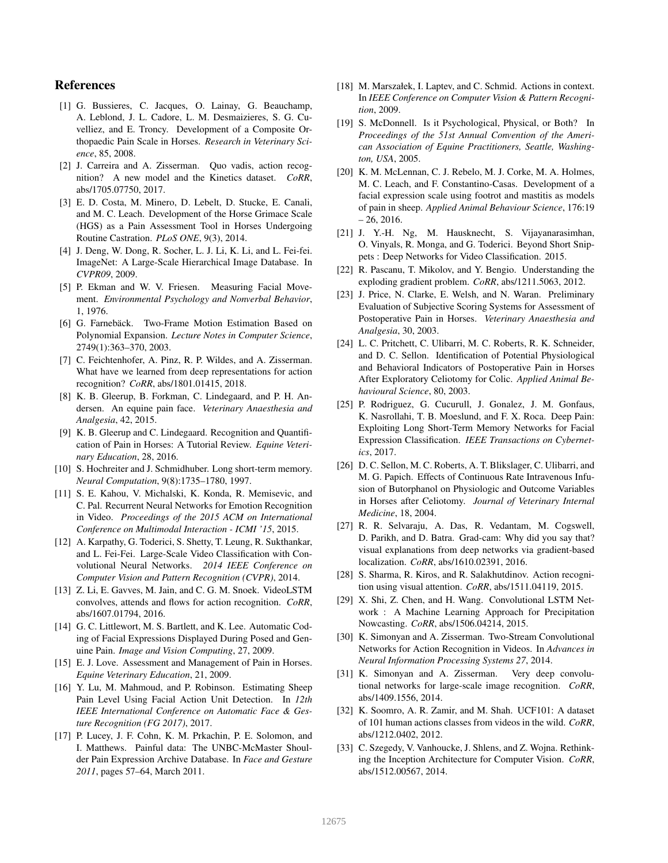# References

- [1] G. Bussieres, C. Jacques, O. Lainay, G. Beauchamp, A. Leblond, J. L. Cadore, L. M. Desmaizieres, S. G. Cuvelliez, and E. Troncy. Development of a Composite Orthopaedic Pain Scale in Horses. *Research in Veterinary Science*, 85, 2008.
- [2] J. Carreira and A. Zisserman. Quo vadis, action recognition? A new model and the Kinetics dataset. *CoRR*, abs/1705.07750, 2017.
- [3] E. D. Costa, M. Minero, D. Lebelt, D. Stucke, E. Canali, and M. C. Leach. Development of the Horse Grimace Scale (HGS) as a Pain Assessment Tool in Horses Undergoing Routine Castration. *PLoS ONE*, 9(3), 2014.
- [4] J. Deng, W. Dong, R. Socher, L. J. Li, K. Li, and L. Fei-fei. ImageNet: A Large-Scale Hierarchical Image Database. In *CVPR09*, 2009.
- [5] P. Ekman and W. V. Friesen. Measuring Facial Movement. *Environmental Psychology and Nonverbal Behavior*, 1, 1976.
- [6] G. Farnebäck. Two-Frame Motion Estimation Based on Polynomial Expansion. *Lecture Notes in Computer Science*, 2749(1):363–370, 2003.
- [7] C. Feichtenhofer, A. Pinz, R. P. Wildes, and A. Zisserman. What have we learned from deep representations for action recognition? *CoRR*, abs/1801.01415, 2018.
- [8] K. B. Gleerup, B. Forkman, C. Lindegaard, and P. H. Andersen. An equine pain face. *Veterinary Anaesthesia and Analgesia*, 42, 2015.
- [9] K. B. Gleerup and C. Lindegaard. Recognition and Quantification of Pain in Horses: A Tutorial Review. *Equine Veterinary Education*, 28, 2016.
- [10] S. Hochreiter and J. Schmidhuber. Long short-term memory. *Neural Computation*, 9(8):1735–1780, 1997.
- [11] S. E. Kahou, V. Michalski, K. Konda, R. Memisevic, and C. Pal. Recurrent Neural Networks for Emotion Recognition in Video. *Proceedings of the 2015 ACM on International Conference on Multimodal Interaction - ICMI '15*, 2015.
- [12] A. Karpathy, G. Toderici, S. Shetty, T. Leung, R. Sukthankar, and L. Fei-Fei. Large-Scale Video Classification with Convolutional Neural Networks. *2014 IEEE Conference on Computer Vision and Pattern Recognition (CVPR)*, 2014.
- [13] Z. Li, E. Gavves, M. Jain, and C. G. M. Snoek. VideoLSTM convolves, attends and flows for action recognition. *CoRR*, abs/1607.01794, 2016.
- [14] G. C. Littlewort, M. S. Bartlett, and K. Lee. Automatic Coding of Facial Expressions Displayed During Posed and Genuine Pain. *Image and Vision Computing*, 27, 2009.
- [15] E. J. Love. Assessment and Management of Pain in Horses. *Equine Veterinary Education*, 21, 2009.
- [16] Y. Lu, M. Mahmoud, and P. Robinson. Estimating Sheep Pain Level Using Facial Action Unit Detection. In *12th IEEE International Conference on Automatic Face & Gesture Recognition (FG 2017)*, 2017.
- [17] P. Lucey, J. F. Cohn, K. M. Prkachin, P. E. Solomon, and I. Matthews. Painful data: The UNBC-McMaster Shoulder Pain Expression Archive Database. In *Face and Gesture 2011*, pages 57–64, March 2011.
- [18] M. Marszałek, I. Laptev, and C. Schmid. Actions in context. In *IEEE Conference on Computer Vision & Pattern Recognition*, 2009.
- [19] S. McDonnell. Is it Psychological, Physical, or Both? In *Proceedings of the 51st Annual Convention of the American Association of Equine Practitioners, Seattle, Washington, USA*, 2005.
- [20] K. M. McLennan, C. J. Rebelo, M. J. Corke, M. A. Holmes, M. C. Leach, and F. Constantino-Casas. Development of a facial expression scale using footrot and mastitis as models of pain in sheep. *Applied Animal Behaviour Science*, 176:19  $-26, 2016.$
- [21] J. Y.-H. Ng, M. Hausknecht, S. Vijayanarasimhan, O. Vinyals, R. Monga, and G. Toderici. Beyond Short Snippets : Deep Networks for Video Classification. 2015.
- [22] R. Pascanu, T. Mikolov, and Y. Bengio. Understanding the exploding gradient problem. *CoRR*, abs/1211.5063, 2012.
- [23] J. Price, N. Clarke, E. Welsh, and N. Waran. Preliminary Evaluation of Subjective Scoring Systems for Assessment of Postoperative Pain in Horses. *Veterinary Anaesthesia and Analgesia*, 30, 2003.
- [24] L. C. Pritchett, C. Ulibarri, M. C. Roberts, R. K. Schneider, and D. C. Sellon. Identification of Potential Physiological and Behavioral Indicators of Postoperative Pain in Horses After Exploratory Celiotomy for Colic. *Applied Animal Behavioural Science*, 80, 2003.
- [25] P. Rodriguez, G. Cucurull, J. Gonalez, J. M. Gonfaus, K. Nasrollahi, T. B. Moeslund, and F. X. Roca. Deep Pain: Exploiting Long Short-Term Memory Networks for Facial Expression Classification. *IEEE Transactions on Cybernetics*, 2017.
- [26] D. C. Sellon, M. C. Roberts, A. T. Blikslager, C. Ulibarri, and M. G. Papich. Effects of Continuous Rate Intravenous Infusion of Butorphanol on Physiologic and Outcome Variables in Horses after Celiotomy. *Journal of Veterinary Internal Medicine*, 18, 2004.
- [27] R. R. Selvaraju, A. Das, R. Vedantam, M. Cogswell, D. Parikh, and D. Batra. Grad-cam: Why did you say that? visual explanations from deep networks via gradient-based localization. *CoRR*, abs/1610.02391, 2016.
- [28] S. Sharma, R. Kiros, and R. Salakhutdinov. Action recognition using visual attention. *CoRR*, abs/1511.04119, 2015.
- [29] X. Shi, Z. Chen, and H. Wang. Convolutional LSTM Network : A Machine Learning Approach for Precipitation Nowcasting. *CoRR*, abs/1506.04214, 2015.
- [30] K. Simonyan and A. Zisserman. Two-Stream Convolutional Networks for Action Recognition in Videos. In *Advances in Neural Information Processing Systems 27*, 2014.
- [31] K. Simonyan and A. Zisserman. Very deep convolutional networks for large-scale image recognition. *CoRR*, abs/1409.1556, 2014.
- [32] K. Soomro, A. R. Zamir, and M. Shah. UCF101: A dataset of 101 human actions classes from videos in the wild. *CoRR*, abs/1212.0402, 2012.
- [33] C. Szegedy, V. Vanhoucke, J. Shlens, and Z. Wojna. Rethinking the Inception Architecture for Computer Vision. *CoRR*, abs/1512.00567, 2014.